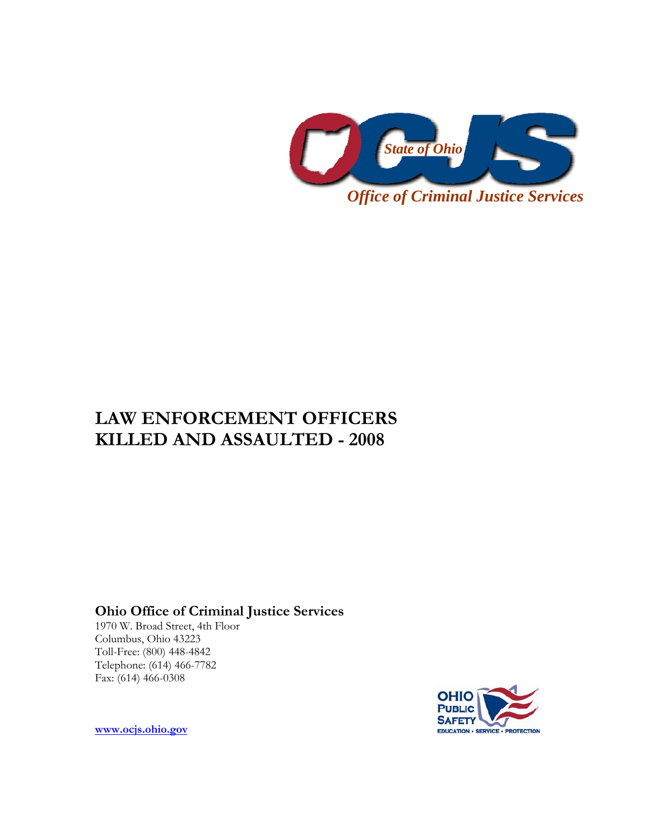

# **LAW ENFORCEMENT OFFICERS KILLED AND ASSAULTED - 2008**

**Ohio Office of Criminal Justice Services** 

1970 W. Broad Street, 4th Floor Columbus, Ohio 43223 Toll-Free: (800) 448-4842 Telephone: (614) 466-7782 Fax: (614) 466-0308



**[www.ocjs.ohio.gov](http://www.ocjs.ohio.gov/)**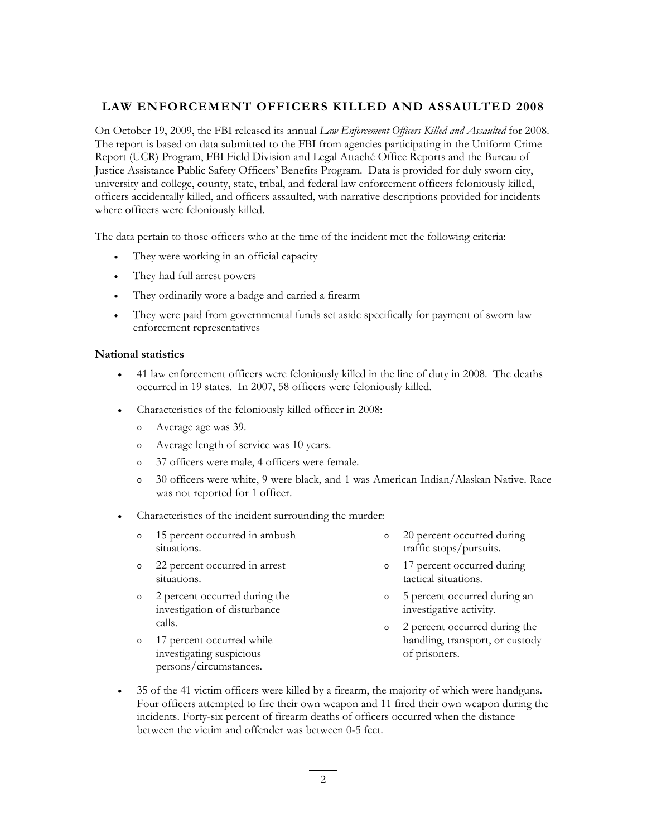## **LAW ENFORCEMENT OFFICERS KILLED AND ASSAULTED 2008**

On October 19, 2009, the FBI released its annual *Law Enforcement Officers Killed and Assaulted* for 2008. The report is based on data submitted to the FBI from agencies participating in the Uniform Crime Report (UCR) Program, FBI Field Division and Legal Attaché Office Reports and the Bureau of Justice Assistance Public Safety Officers' Benefits Program. Data is provided for duly sworn city, university and college, county, state, tribal, and federal law enforcement officers feloniously killed, officers accidentally killed, and officers assaulted, with narrative descriptions provided for incidents where officers were feloniously killed.

The data pertain to those officers who at the time of the incident met the following criteria:

- They were working in an official capacity
- They had full arrest powers
- They ordinarily wore a badge and carried a firearm
- They were paid from governmental funds set aside specifically for payment of sworn law enforcement representatives

#### **National statistics**

- 41 law enforcement officers were feloniously killed in the line of duty in 2008. The deaths occurred in 19 states. In 2007, 58 officers were feloniously killed.
- Characteristics of the feloniously killed officer in 2008:
	- o Average age was 39.
	- o Average length of service was 10 years.
	- o 37 officers were male, 4 officers were female.
	- o 30 officers were white, 9 were black, and 1 was American Indian/Alaskan Native. Race was not reported for 1 officer.
- Characteristics of the incident surrounding the murder:
	- o 15 percent occurred in ambush situations. o 20 percent occurred during traffic stops/pursuits.
	- 22 percent occurred in arrest situations.
	- o 2 percent occurred during the investigation of disturbance calls.
	- o 17 percent occurred while investigating suspicious

persons/circumstances.

- 
- o 17 percent occurred during tactical situations.
- o 5 percent occurred during an investigative activity.
- o 2 percent occurred during the handling, transport, or custody of prisoners.
- 35 of the 41 victim officers were killed by a firearm, the majority of which were handguns. Four officers attempted to fire their own weapon and 11 fired their own weapon during the incidents. Forty-six percent of firearm deaths of officers occurred when the distance between the victim and offender was between 0-5 feet.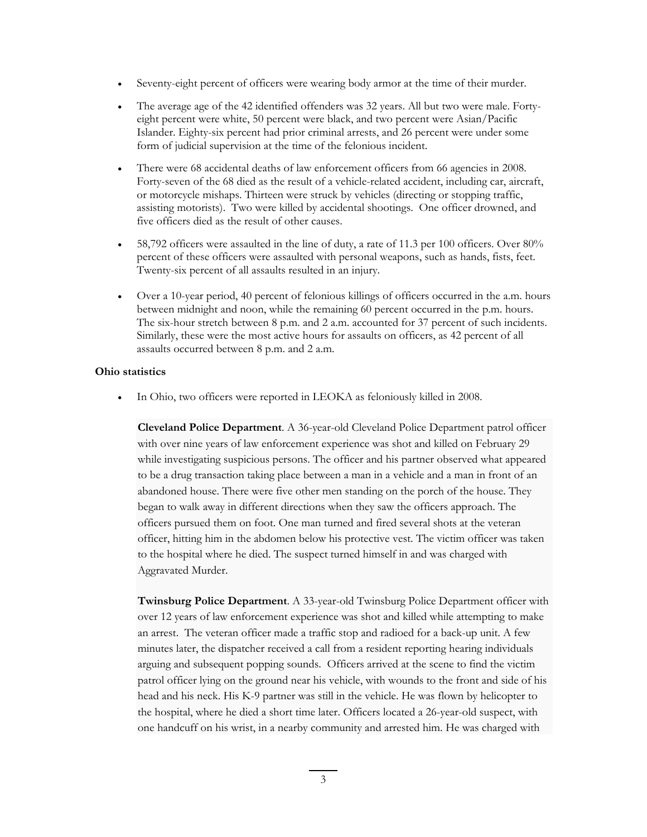- Seventy-eight percent of officers were wearing body armor at the time of their murder.
- The average age of the 42 identified offenders was 32 years. All but two were male. Fortyeight percent were white, 50 percent were black, and two percent were Asian/Pacific Islander. Eighty-six percent had prior criminal arrests, and 26 percent were under some form of judicial supervision at the time of the felonious incident.
- There were 68 accidental deaths of law enforcement officers from 66 agencies in 2008. Forty-seven of the 68 died as the result of a vehicle-related accident, including car, aircraft, or motorcycle mishaps. Thirteen were struck by vehicles (directing or stopping traffic, assisting motorists). Two were killed by accidental shootings. One officer drowned, and five officers died as the result of other causes.
- 58,792 officers were assaulted in the line of duty, a rate of 11.3 per 100 officers. Over 80% percent of these officers were assaulted with personal weapons, such as hands, fists, feet. Twenty-six percent of all assaults resulted in an injury.
- Over a 10-year period, 40 percent of felonious killings of officers occurred in the a.m. hours between midnight and noon, while the remaining 60 percent occurred in the p.m. hours. The six-hour stretch between 8 p.m. and 2 a.m. accounted for 37 percent of such incidents. Similarly, these were the most active hours for assaults on officers, as 42 percent of all assaults occurred between 8 p.m. and 2 a.m.

#### **Ohio statistics**

• In Ohio, two officers were reported in LEOKA as feloniously killed in 2008.

**Cleveland Police Department**. A 36-year-old Cleveland Police Department patrol officer with over nine years of law enforcement experience was shot and killed on February 29 while investigating suspicious persons. The officer and his partner observed what appeared to be a drug transaction taking place between a man in a vehicle and a man in front of an abandoned house. There were five other men standing on the porch of the house. They began to walk away in different directions when they saw the officers approach. The officers pursued them on foot. One man turned and fired several shots at the veteran officer, hitting him in the abdomen below his protective vest. The victim officer was taken to the hospital where he died. The suspect turned himself in and was charged with Aggravated Murder.

**Twinsburg Police Department**. A 33-year-old Twinsburg Police Department officer with over 12 years of law enforcement experience was shot and killed while attempting to make an arrest. The veteran officer made a traffic stop and radioed for a back-up unit. A few minutes later, the dispatcher received a call from a resident reporting hearing individuals arguing and subsequent popping sounds. Officers arrived at the scene to find the victim patrol officer lying on the ground near his vehicle, with wounds to the front and side of his head and his neck. His K-9 partner was still in the vehicle. He was flown by helicopter to the hospital, where he died a short time later. Officers located a 26-year-old suspect, with one handcuff on his wrist, in a nearby community and arrested him. He was charged with